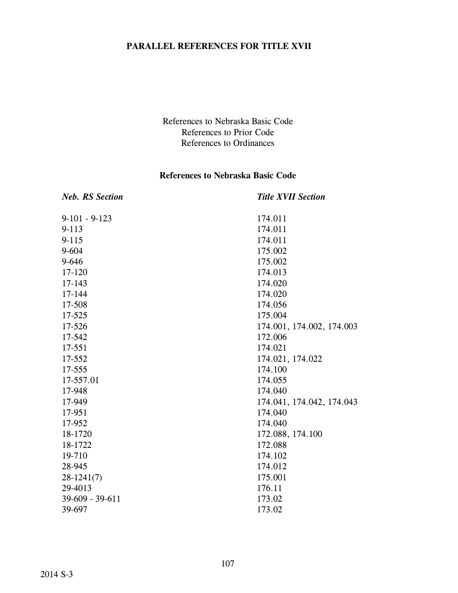#### **PARALLEL REFERENCES FOR TITLE XVII**

References to Nebraska Basic Code References to Prior Code References to Ordinances

#### **References to Nebraska Basic Code**

| <b>Neb. RS Section</b> | <b>Title XVII Section</b> |
|------------------------|---------------------------|
| $9-101 - 9-123$        | 174.011                   |
| $9 - 113$              | 174.011                   |
| $9 - 115$              | 174.011                   |
| $9 - 604$              | 175.002                   |
| 9-646                  | 175.002                   |
| 17-120                 | 174.013                   |
| 17-143                 | 174.020                   |
| 17-144                 | 174.020                   |
| 17-508                 | 174.056                   |
| 17-525                 | 175.004                   |
| 17-526                 | 174.001, 174.002, 174.003 |
| 17-542                 | 172.006                   |
| 17-551                 | 174.021                   |
| 17-552                 | 174.021, 174.022          |
| 17-555                 | 174.100                   |
| 17-557.01              | 174.055                   |
| 17-948                 | 174.040                   |
| 17-949                 | 174.041, 174.042, 174.043 |
| 17-951                 | 174.040                   |
| 17-952                 | 174.040                   |
| 18-1720                | 172.088, 174.100          |
| 18-1722                | 172.088                   |
| 19-710                 | 174.102                   |
| 28-945                 | 174.012                   |
| $28-1241(7)$           | 175.001                   |
| 29-4013                | 176.11                    |
| $39-609 - 39-611$      | 173.02                    |
| 39-697                 | 173.02                    |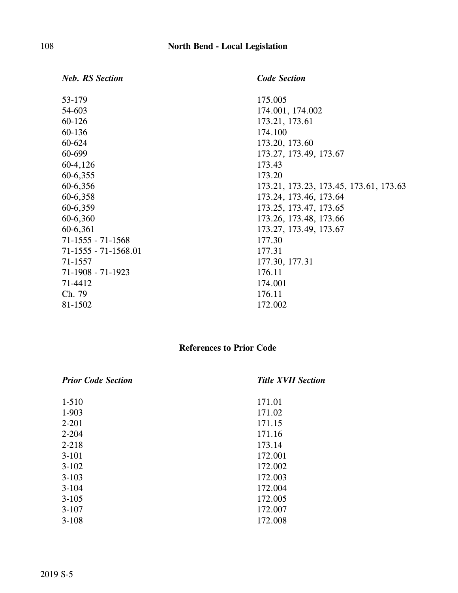| <b>Neb. RS Section</b> | <b>Code Section</b>                    |
|------------------------|----------------------------------------|
| 53-179                 | 175.005                                |
| 54-603                 | 174.001, 174.002                       |
| $60 - 126$             | 173.21, 173.61                         |
| 60-136                 | 174.100                                |
| 60-624                 | 173.20, 173.60                         |
| 60-699                 | 173.27, 173.49, 173.67                 |
| 60-4,126               | 173.43                                 |
| 60-6,355               | 173.20                                 |
| 60-6,356               | 173.21, 173.23, 173.45, 173.61, 173.63 |
| 60-6,358               | 173.24, 173.46, 173.64                 |
| 60-6,359               | 173.25, 173.47, 173.65                 |
| 60-6,360               | 173.26, 173.48, 173.66                 |
| 60-6,361               | 173.27, 173.49, 173.67                 |
| $71-1555 - 71-1568$    | 177.30                                 |
| $71-1555 - 71-1568.01$ | 177.31                                 |
| 71-1557                | 177.30, 177.31                         |
| 71-1908 - 71-1923      | 176.11                                 |
| 71-4412                | 174.001                                |
| Ch. 79                 | 176.11                                 |
| 81-1502                | 172.002                                |
|                        |                                        |

# **References to Prior Code**

| <b>Prior Code Section</b> | <b>Title XVII Section</b> |
|---------------------------|---------------------------|
| $1 - 510$                 | 171.01                    |
| 1-903                     | 171.02                    |
| $2 - 201$                 | 171.15                    |
| $2 - 204$                 | 171.16                    |
| $2 - 218$                 | 173.14                    |
| $3-101$                   | 172.001                   |
| $3 - 102$                 | 172.002                   |
| $3 - 103$                 | 172.003                   |
| $3-104$                   | 172.004                   |
| $3 - 105$                 | 172.005                   |
| $3-107$                   | 172.007                   |
| $3 - 108$                 | 172.008                   |
|                           |                           |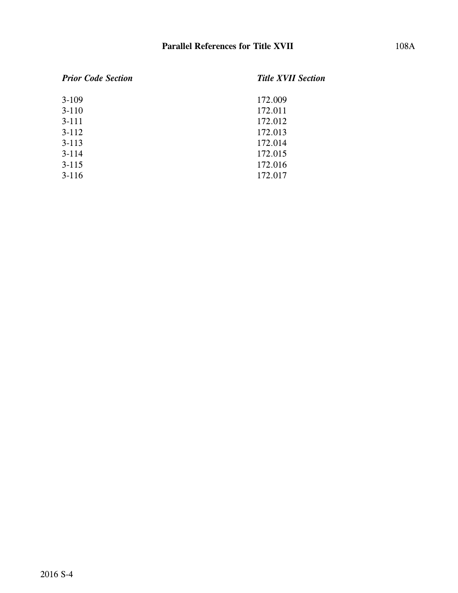| <b>Prior Code Section</b> | <b>Title XVII Section</b> |
|---------------------------|---------------------------|
| $3-109$                   | 172.009                   |
| $3-110$                   | 172.011                   |
| $3 - 111$                 | 172.012                   |
| $3-112$                   | 172.013                   |
| $3 - 113$                 | 172.014                   |
| $3 - 114$                 | 172.015                   |
| $3 - 115$                 | 172.016                   |
| $3-116$                   | 172.017                   |
|                           |                           |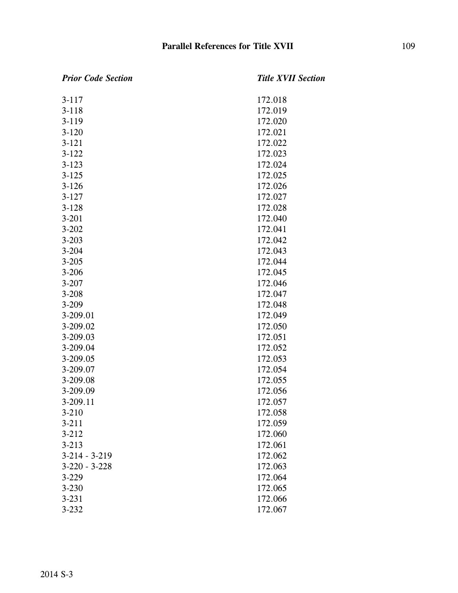| <b>Prior Code Section</b> | <b>Title XVII Section</b> |
|---------------------------|---------------------------|
| $3 - 117$                 | 172.018                   |
| $3 - 118$                 | 172.019                   |
| $3-119$                   | 172.020                   |
| $3 - 120$                 | 172.021                   |
| $3 - 121$                 | 172.022                   |
| $3-122$                   | 172.023                   |
| $3 - 123$                 | 172.024                   |
| $3 - 125$                 | 172.025                   |
| $3 - 126$                 | 172.026                   |
| $3 - 127$                 | 172.027                   |
| $3 - 128$                 | 172.028                   |
| $3 - 201$                 | 172.040                   |
| $3 - 202$                 | 172.041                   |
| $3 - 203$                 | 172.042                   |
| $3 - 204$                 | 172.043                   |
| $3 - 205$                 | 172.044                   |
| $3 - 206$                 | 172.045                   |
| $3 - 207$                 | 172.046                   |
| $3 - 208$                 | 172.047                   |
| $3 - 209$                 | 172.048                   |
| 3-209.01                  | 172.049                   |
| 3-209.02                  | 172.050                   |
| 3-209.03                  | 172.051                   |
| 3-209.04                  | 172.052                   |
| 3-209.05                  | 172.053                   |
| 3-209.07                  | 172.054                   |
| 3-209.08                  | 172.055                   |
| 3-209.09                  | 172.056                   |
| 3-209.11                  | 172.057                   |
| $3 - 210$                 | 172.058                   |
| $3 - 211$                 | 172.059                   |
| $3 - 212$                 | 172.060                   |
| $3 - 213$                 | 172.061                   |
| $3-214 - 3-219$           | 172.062                   |
| $3-220 - 3-228$           | 172.063                   |
| $3-229$                   | 172.064                   |
| $3 - 230$                 | 172.065                   |
| $3 - 231$                 | 172.066                   |
| $3 - 232$                 | 172.067                   |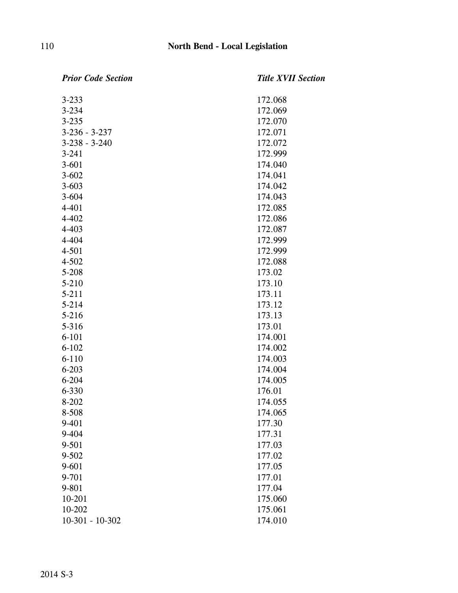| <b>Prior Code Section</b> | <b>Title XVII Section</b> |
|---------------------------|---------------------------|
| $3 - 233$                 | 172.068                   |
| $3 - 234$                 | 172.069                   |
| $3 - 235$                 | 172.070                   |
| $3 - 236 - 3 - 237$       | 172.071                   |
| $3-238 - 3-240$           | 172.072                   |
| $3 - 241$                 | 172.999                   |
| $3 - 601$                 | 174.040                   |
| $3 - 602$                 | 174.041                   |
| $3 - 603$                 | 174.042                   |
| $3 - 604$                 | 174.043                   |
| $4 - 401$                 | 172.085                   |
| $4 - 402$                 | 172.086                   |
| $4 - 403$                 | 172.087                   |
| 4-404                     | 172.999                   |
| $4 - 501$                 | 172.999                   |
| $4 - 502$                 | 172.088                   |
| $5 - 208$                 | 173.02                    |
| $5 - 210$                 | 173.10                    |
| $5 - 211$                 | 173.11                    |
| $5 - 214$                 | 173.12                    |
| $5 - 216$                 | 173.13                    |
| 5-316                     | 173.01                    |
| $6 - 101$                 | 174.001                   |
| $6 - 102$                 | 174.002                   |
| $6 - 110$                 | 174.003                   |
| $6 - 203$                 | 174.004                   |
| $6 - 204$                 | 174.005                   |
| 6-330                     | 176.01                    |
| 8-202                     | 174.055                   |
| 8-508                     | 174.065                   |
| 9-401                     | 177.30                    |
| 9-404                     | 177.31                    |
| 9-501                     | 177.03                    |
| $9 - 502$                 | 177.02                    |
| $9 - 601$                 | 177.05                    |
| 9-701                     | 177.01                    |
| 9-801                     | 177.04                    |
| 10-201                    | 175.060                   |
| 10-202                    | 175.061                   |
| $10-301 - 10-302$         | 174.010                   |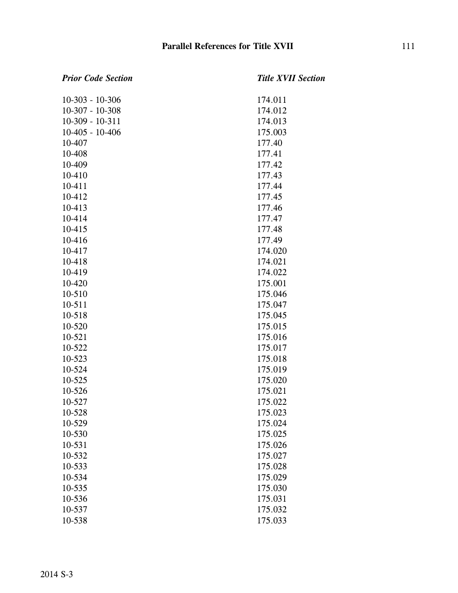### *Prior Code Section Title XVII Section* 10-303 - 10-306 174.011 10-307 - 10-308 174.012 10-309 - 10-311 174.013 10-405 - 10-406 175.003 10-407 177.40 10-408 177.41 10-409 177.42 10-410 177.43 10-411 177.44 10-412 177.45 10-413 177.46 10-414 177.47 10-415 177.48 10-416 177.49 10-417 174.020 10-418 174.021 10-419 174.022 10-420 175.001 10-510 175.046 10-511 175.047 10-518 175.045 10-520 175.015 10-521 175.016 10-522 175.017 10-523 175.018 10-524 175.019 10-525 175.020 10-526 175.021 10-527 175.022 10-528 175.023 10-529 175.024 10-530 175.025 10-531 175.026 10-532 175.027 10-533 175.028 10-534 175.029 10-535 175.030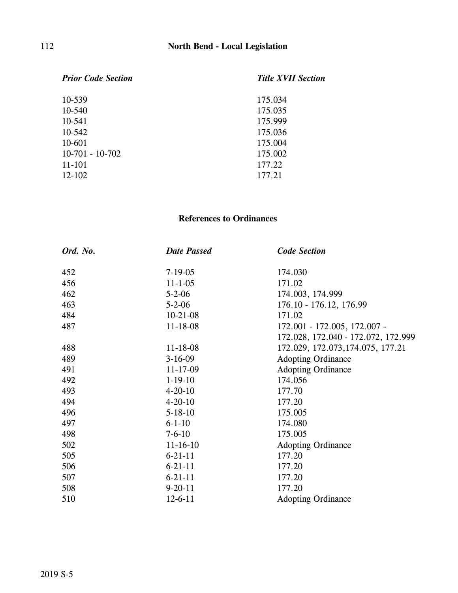| <b>Prior Code Section</b> | <b>Title XVII Section</b> |
|---------------------------|---------------------------|
| 10-539                    | 175.034                   |
| $10 - 540$                | 175.035                   |
| 10-541                    | 175.999                   |
| $10-542$                  | 175.036                   |
| 10-601                    | 175.004                   |
| $10-701 - 10-702$         | 175.002                   |
| $11 - 101$                | 177.22                    |
| $12 - 102$                | 177.21                    |
|                           |                           |

### **References to Ordinances**

| Ord. No. | <b>Date Passed</b> | <b>Code Section</b>                 |
|----------|--------------------|-------------------------------------|
| 452      | $7 - 19 - 05$      | 174.030                             |
| 456      | $11 - 1 - 05$      | 171.02                              |
| 462      | $5 - 2 - 06$       | 174.003, 174.999                    |
| 463      | $5 - 2 - 06$       | 176.10 - 176.12, 176.99             |
| 484      | $10-21-08$         | 171.02                              |
| 487      | 11-18-08           | 172.001 - 172.005, 172.007 -        |
|          |                    | 172.028, 172.040 - 172.072, 172.999 |
| 488      | $11 - 18 - 08$     | 172.029, 172.073, 174.075, 177.21   |
| 489      | $3-16-09$          | <b>Adopting Ordinance</b>           |
| 491      | $11 - 17 - 09$     | <b>Adopting Ordinance</b>           |
| 492      | $1-19-10$          | 174.056                             |
| 493      | $4 - 20 - 10$      | 177.70                              |
| 494      | $4 - 20 - 10$      | 177.20                              |
| 496      | $5 - 18 - 10$      | 175.005                             |
| 497      | $6 - 1 - 10$       | 174.080                             |
| 498      | $7 - 6 - 10$       | 175.005                             |
| 502      | $11 - 16 - 10$     | <b>Adopting Ordinance</b>           |
| 505      | $6 - 21 - 11$      | 177.20                              |
| 506      | $6 - 21 - 11$      | 177.20                              |
| 507      | $6 - 21 - 11$      | 177.20                              |
| 508      | $9 - 20 - 11$      | 177.20                              |
| 510      | $12 - 6 - 11$      | <b>Adopting Ordinance</b>           |